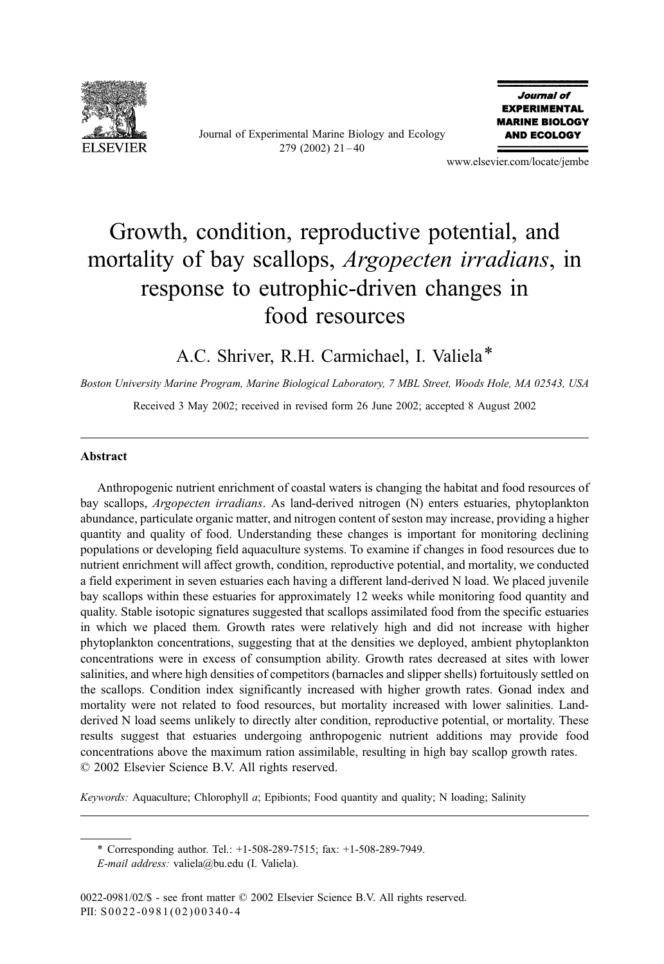

Journal of Experimental Marine Biology and Ecology  $279$  (2002)  $21 - 40$ 

Journal of **EXPERIMENTAL MARINE BIOLOGY AND ECOLOGY** 

www.elsevier.com/locate/jembe

# Growth, condition, reproductive potential, and mortality of bay scallops, *Argopecten irradians*, in response to eutrophic-driven changes in food resources

A.C. Shriver, R.H. Carmichael, I. Valiela\*

Boston University Marine Program, Marine Biological Laboratory, 7 MBL Street, Woods Hole, MA 02543, USA Received 3 May 2002; received in revised form 26 June 2002; accepted 8 August 2002

### Abstract

Anthropogenic nutrient enrichment of coastal waters is changing the habitat and food resources of bay scallops, Argopecten irradians. As land-derived nitrogen (N) enters estuaries, phytoplankton abundance, particulate organic matter, and nitrogen content of seston may increase, providing a higher quantity and quality of food. Understanding these changes is important for monitoring declining populations or developing field aquaculture systems. To examine if changes in food resources due to nutrient enrichment will affect growth, condition, reproductive potential, and mortality, we conducted a field experiment in seven estuaries each having a different land-derived N load. We placed juvenile bay scallops within these estuaries for approximately 12 weeks while monitoring food quantity and quality. Stable isotopic signatures suggested that scallops assimilated food from the specific estuaries in which we placed them. Growth rates were relatively high and did not increase with higher phytoplankton concentrations, suggesting that at the densities we deployed, ambient phytoplankton concentrations were in excess of consumption ability. Growth rates decreased at sites with lower salinities, and where high densities of competitors (barnacles and slipper shells) fortuitously settled on the scallops. Condition index significantly increased with higher growth rates. Gonad index and mortality were not related to food resources, but mortality increased with lower salinities. Landderived N load seems unlikely to directly alter condition, reproductive potential, or mortality. These results suggest that estuaries undergoing anthropogenic nutrient additions may provide food concentrations above the maximum ration assimilable, resulting in high bay scallop growth rates.  $© 2002 Elsevier Science B.V. All rights reserved.$ 

Keywords: Aquaculture; Chlorophyll a; Epibionts; Food quantity and quality; N loading; Salinity

\* Corresponding author. Tel.: +1-508-289-7515; fax: +1-508-289-7949.

E-mail address: valiela@bu.edu (I. Valiela).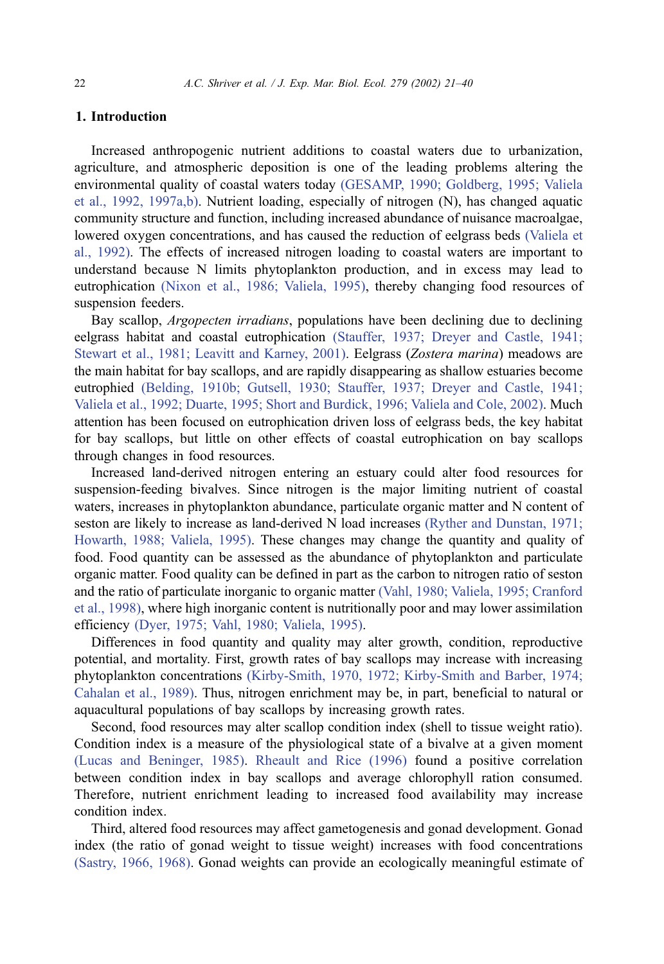# 1. Introduction

Increased anthropogenic nutrient additions to coastal waters due to urbanization, agriculture, and atmospheric deposition is one of the leading problems altering the environmental quality of coastal waters today [\(GESAMP, 1990; Goldberg, 1995; Valiela](#page-17-0) et al., 1992, 1997a,b). Nutrient loading, especially of nitrogen (N), has changed aquatic community structure and function, including increased abundance of nuisance macroalgae, lowered oxygen concentrations, and has caused the reduction of eelgrass beds [\(Valiela et](#page-18-0) al., 1992). The effects of increased nitrogen loading to coastal waters are important to understand because N limits phytoplankton production, and in excess may lead to eutrophication [\(Nixon et al., 1986; Valiela, 1995\),](#page-18-0) thereby changing food resources of suspension feeders.

Bay scallop, *Argopecten irradians*, populations have been declining due to declining eelgrass habitat and coastal eutrophication [\(Stauffer, 1937; Dreyer and Castle, 1941;](#page-18-0) Stewart et al., 1981; Leavitt and Karney, 2001). Eelgrass (Zostera marina) meadows are the main habitat for bay scallops, and are rapidly disappearing as shallow estuaries become eutrophied [\(Belding, 1910b; Gutsell, 1930; Stauffer, 1937; Dreyer and Castle, 1941;](#page-16-0) Valiela et al., 1992; Duarte, 1995; Short and Burdick, 1996; Valiela and Cole, 2002). Much attention has been focused on eutrophication driven loss of eelgrass beds, the key habitat for bay scallops, but little on other effects of coastal eutrophication on bay scallops through changes in food resources.

Increased land-derived nitrogen entering an estuary could alter food resources for suspension-feeding bivalves. Since nitrogen is the major limiting nutrient of coastal waters, increases in phytoplankton abundance, particulate organic matter and N content of seston are likely to increase as land-derived N load increases [\(Ryther and Dunstan, 1971;](#page-18-0) Howarth, 1988; Valiela, 1995). These changes may change the quantity and quality of food. Food quantity can be assessed as the abundance of phytoplankton and particulate organic matter. Food quality can be defined in part as the carbon to nitrogen ratio of seston and the ratio of particulate inorganic to organic matter [\(Vahl, 1980; Valiela, 1995; Cranford](#page-18-0) et al., 1998), where high inorganic content is nutritionally poor and may lower assimilation efficiency [\(Dyer, 1975; Vahl, 1980; Valiela, 1995\).](#page-17-0)

Differences in food quantity and quality may alter growth, condition, reproductive potential, and mortality. First, growth rates of bay scallops may increase with increasing phytoplankton concentrations [\(Kirby-Smith, 1970, 1972; Kirby-Smith and Barber, 1974;](#page-17-0) Cahalan et al., 1989). Thus, nitrogen enrichment may be, in part, beneficial to natural or aquacultural populations of bay scallops by increasing growth rates.

Second, food resources may alter scallop condition index (shell to tissue weight ratio). Condition index is a measure of the physiological state of a bivalve at a given moment [\(Lucas and Beninger, 1985\).](#page-17-0) [Rheault and Rice \(1996\)](#page-18-0) found a positive correlation between condition index in bay scallops and average chlorophyll ration consumed. Therefore, nutrient enrichment leading to increased food availability may increase condition index.

Third, altered food resources may affect gametogenesis and gonad development. Gonad index (the ratio of gonad weight to tissue weight) increases with food concentrations [\(Sastry, 1966, 1968\).](#page-18-0) Gonad weights can provide an ecologically meaningful estimate of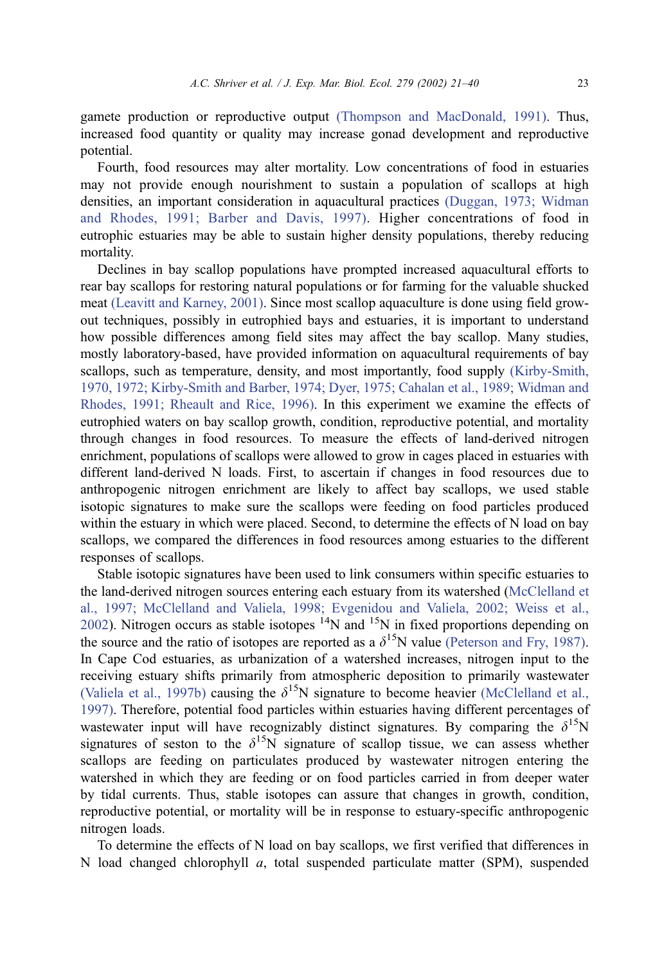gamete production or reproductive output [\(Thompson and MacDonald, 1991\).](#page-18-0) Thus, increased food quantity or quality may increase gonad development and reproductive potential.

Fourth, food resources may alter mortality. Low concentrations of food in estuaries may not provide enough nourishment to sustain a population of scallops at high densities, an important consideration in aquacultural practices [\(Duggan, 1973; Widman](#page-17-0) and Rhodes, 1991; Barber and Davis, 1997). Higher concentrations of food in eutrophic estuaries may be able to sustain higher density populations, thereby reducing mortality.

Declines in bay scallop populations have prompted increased aquacultural efforts to rear bay scallops for restoring natural populations or for farming for the valuable shucked meat [\(Leavitt and Karney, 2001\).](#page-17-0) Since most scallop aquaculture is done using field growout techniques, possibly in eutrophied bays and estuaries, it is important to understand how possible differences among field sites may affect the bay scallop. Many studies, mostly laboratory-based, have provided information on aquacultural requirements of bay scallops, such as temperature, density, and most importantly, food supply [\(Kirby-Smith,](#page-17-0) 1970, 1972; Kirby-Smith and Barber, 1974; Dyer, 1975; Cahalan et al., 1989; Widman and Rhodes, 1991; Rheault and Rice, 1996). In this experiment we examine the effects of eutrophied waters on bay scallop growth, condition, reproductive potential, and mortality through changes in food resources. To measure the effects of land-derived nitrogen enrichment, populations of scallops were allowed to grow in cages placed in estuaries with different land-derived N loads. First, to ascertain if changes in food resources due to anthropogenic nitrogen enrichment are likely to affect bay scallops, we used stable isotopic signatures to make sure the scallops were feeding on food particles produced within the estuary in which were placed. Second, to determine the effects of N load on bay scallops, we compared the differences in food resources among estuaries to the different responses of scallops.

Stable isotopic signatures have been used to link consumers within specific estuaries to the land-derived nitrogen sources entering each estuary from its watershed ([McClelland et](#page-18-0) al., 1997; McClelland and Valiela, 1998; Evgenidou and Valiela, 2002; Weiss et al., 2002). Nitrogen occurs as stable isotopes  ${}^{14}$ N and  ${}^{15}$ N in fixed proportions depending on the source and the ratio of isotopes are reported as a  $\delta^{15}N$  value [\(Peterson and Fry, 1987\).](#page-18-0) In Cape Cod estuaries, as urbanization of a watershed increases, nitrogen input to the receiving estuary shifts primarily from atmospheric deposition to primarily wastewater [\(Valiela et al., 1997b\)](#page-19-0) causing the  $\delta^{15}N$  signature to become heavier [\(McClelland et al.,](#page-18-0) 1997). Therefore, potential food particles within estuaries having different percentages of wastewater input will have recognizably distinct signatures. By comparing the  $\delta^{15}N$ signatures of seston to the  $\delta^{15}N$  signature of scallop tissue, we can assess whether scallops are feeding on particulates produced by wastewater nitrogen entering the watershed in which they are feeding or on food particles carried in from deeper water by tidal currents. Thus, stable isotopes can assure that changes in growth, condition, reproductive potential, or mortality will be in response to estuary-specific anthropogenic nitrogen loads.

To determine the effects of N load on bay scallops, we first verified that differences in N load changed chlorophyll  $a$ , total suspended particulate matter (SPM), suspended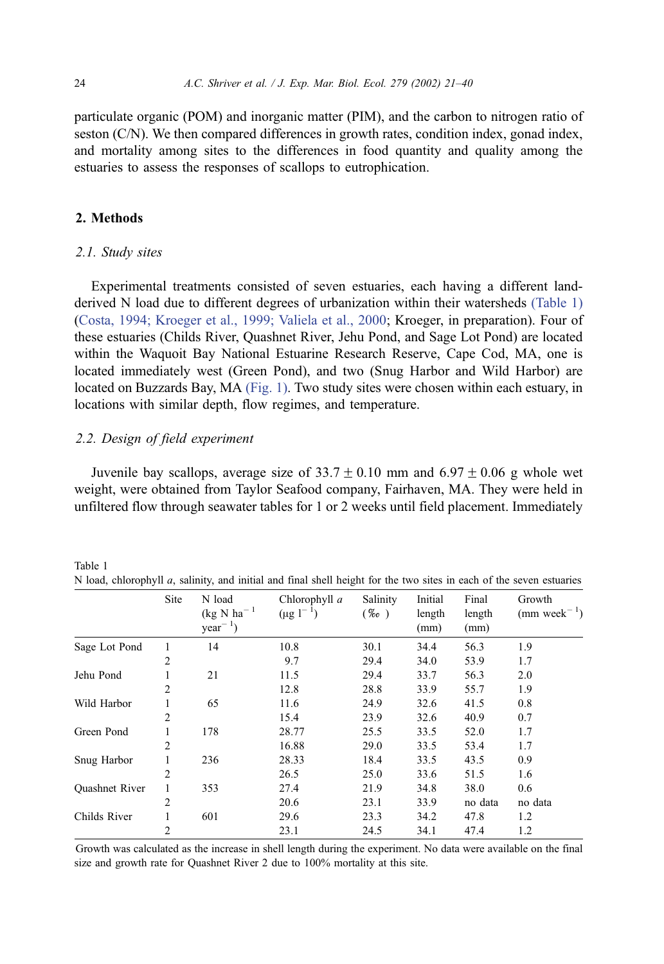<span id="page-3-0"></span>particulate organic (POM) and inorganic matter (PIM), and the carbon to nitrogen ratio of seston (C/N). We then compared differences in growth rates, condition index, gonad index, and mortality among sites to the differences in food quantity and quality among the estuaries to assess the responses of scallops to eutrophication.

# 2. Methods

Table 1

#### 2.1. Study sites

Experimental treatments consisted of seven estuaries, each having a different landderived N load due to different degrees of urbanization within their watersheds (Table 1) ([Costa, 1994; Kroeger et al., 1999; Valiela et al., 2000;](#page-17-0) Kroeger, in preparation). Four of these estuaries (Childs River, Quashnet River, Jehu Pond, and Sage Lot Pond) are located within the Waquoit Bay National Estuarine Research Reserve, Cape Cod, MA, one is located immediately west (Green Pond), and two (Snug Harbor and Wild Harbor) are located on Buzzards Bay, MA [\(Fig. 1\).](#page-4-0) Two study sites were chosen within each estuary, in locations with similar depth, flow regimes, and temperature.

#### 2.2. Design of field experiment

Juvenile bay scallops, average size of  $33.7 \pm 0.10$  mm and  $6.97 \pm 0.06$  g whole wet weight, were obtained from Taylor Seafood company, Fairhaven, MA. They were held in unfiltered flow through seawater tables for 1 or 2 weeks until field placement. Immediately

|                       | Site           | N load<br>$(kg N ha^{-1})$<br>$year^{-1}$ ) | Chlorophyll a<br>$(\mu g 1^{-1})$ | Salinity<br>$(\%_{o})$ | Initial<br>length<br>(mm) | Final<br>length<br>(mm) | Growth<br>$(mm \text{ week}^{-1})$ |
|-----------------------|----------------|---------------------------------------------|-----------------------------------|------------------------|---------------------------|-------------------------|------------------------------------|
| Sage Lot Pond         | 1              | 14                                          | 10.8                              | 30.1                   | 34.4                      | 56.3                    | 1.9                                |
|                       | $\overline{c}$ |                                             | 9.7                               | 29.4                   | 34.0                      | 53.9                    | 1.7                                |
| Jehu Pond             |                | 21                                          | 11.5                              | 29.4                   | 33.7                      | 56.3                    | 2.0                                |
|                       | 2              |                                             | 12.8                              | 28.8                   | 33.9                      | 55.7                    | 1.9                                |
| Wild Harbor           |                | 65                                          | 11.6                              | 24.9                   | 32.6                      | 41.5                    | 0.8                                |
|                       | 2              |                                             | 15.4                              | 23.9                   | 32.6                      | 40.9                    | 0.7                                |
| Green Pond            |                | 178                                         | 28.77                             | 25.5                   | 33.5                      | 52.0                    | 1.7                                |
|                       | 2              |                                             | 16.88                             | 29.0                   | 33.5                      | 53.4                    | 1.7                                |
| Snug Harbor           |                | 236                                         | 28.33                             | 18.4                   | 33.5                      | 43.5                    | 0.9                                |
|                       | 2              |                                             | 26.5                              | 25.0                   | 33.6                      | 51.5                    | 1.6                                |
| <b>Quashnet River</b> | 1              | 353                                         | 27.4                              | 21.9                   | 34.8                      | 38.0                    | 0.6                                |
|                       | 2              |                                             | 20.6                              | 23.1                   | 33.9                      | no data                 | no data                            |
| Childs River          |                | 601                                         | 29.6                              | 23.3                   | 34.2                      | 47.8                    | 1.2                                |
|                       | 2              |                                             | 23.1                              | 24.5                   | 34.1                      | 47.4                    | 1.2                                |

N load, chlorophyll  $a$ , salinity, and initial and final shell height for the two sites in each of the seven estuaries

Growth was calculated as the increase in shell length during the experiment. No data were available on the final size and growth rate for Quashnet River 2 due to 100% mortality at this site.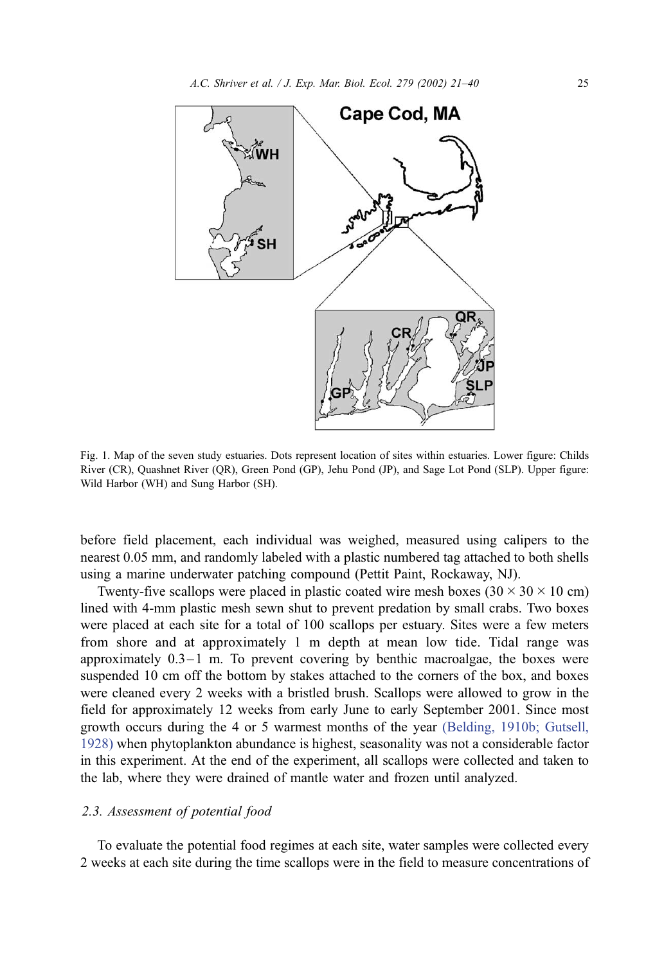<span id="page-4-0"></span>

Fig. 1. Map of the seven study estuaries. Dots represent location of sites within estuaries. Lower figure: Childs River (CR), Quashnet River (QR), Green Pond (GP), Jehu Pond (JP), and Sage Lot Pond (SLP). Upper figure: Wild Harbor (WH) and Sung Harbor (SH).

before field placement, each individual was weighed, measured using calipers to the nearest 0.05 mm, and randomly labeled with a plastic numbered tag attached to both shells using a marine underwater patching compound (Pettit Paint, Rockaway, NJ).

Twenty-five scallops were placed in plastic coated wire mesh boxes  $(30 \times 30 \times 10 \text{ cm})$ lined with 4-mm plastic mesh sewn shut to prevent predation by small crabs. Two boxes were placed at each site for a total of 100 scallops per estuary. Sites were a few meters from shore and at approximately 1 m depth at mean low tide. Tidal range was approximately  $0.3-1$  m. To prevent covering by benthic macroalgae, the boxes were suspended 10 cm off the bottom by stakes attached to the corners of the box, and boxes were cleaned every 2 weeks with a bristled brush. Scallops were allowed to grow in the field for approximately 12 weeks from early June to early September 2001. Since most growth occurs during the 4 or 5 warmest months of the year [\(Belding, 1910b; Gutsell,](#page-16-0) 1928) when phytoplankton abundance is highest, seasonality was not a considerable factor in this experiment. At the end of the experiment, all scallops were collected and taken to the lab, where they were drained of mantle water and frozen until analyzed.

## 2.3. Assessment of potential food

To evaluate the potential food regimes at each site, water samples were collected every 2 weeks at each site during the time scallops were in the field to measure concentrations of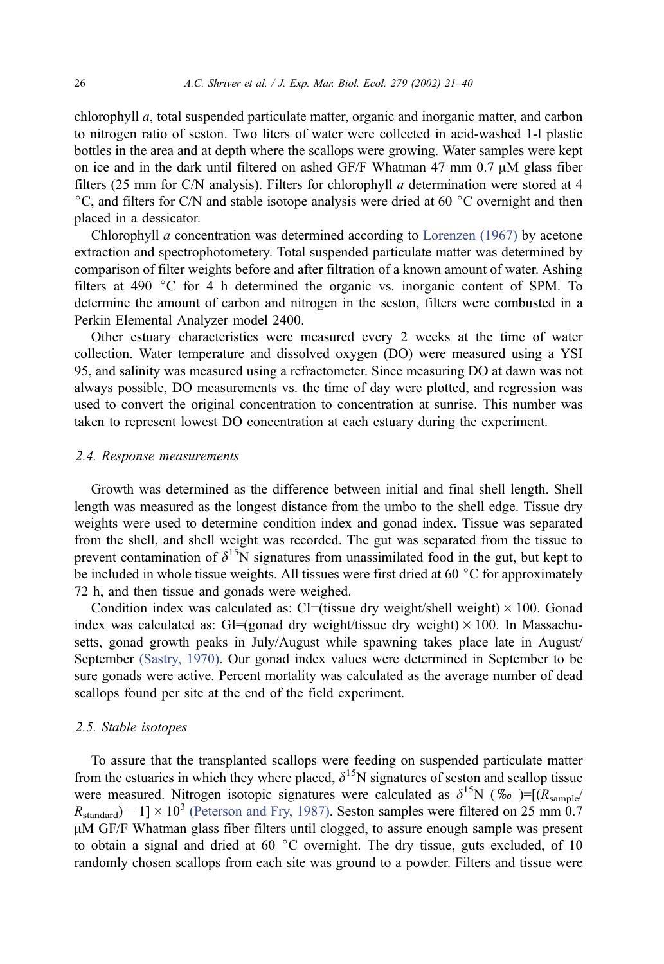chlorophyll a, total suspended particulate matter, organic and inorganic matter, and carbon to nitrogen ratio of seston. Two liters of water were collected in acid-washed 1-l plastic bottles in the area and at depth where the scallops were growing. Water samples were kept on ice and in the dark until filtered on ashed GF/F Whatman 47 mm  $0.7 \mu M$  glass fiber filters (25 mm for C/N analysis). Filters for chlorophyll  $a$  determination were stored at 4  $\degree$ C, and filters for C/N and stable isotope analysis were dried at 60  $\degree$ C overnight and then placed in a dessicator.

Chlorophyll a concentration was determined according to [Lorenzen \(1967\)](#page-17-0) by acetone extraction and spectrophotometery. Total suspended particulate matter was determined by comparison of filter weights before and after filtration of a known amount of water. Ashing filters at 490  $\degree$ C for 4 h determined the organic vs. inorganic content of SPM. To determine the amount of carbon and nitrogen in the seston, filters were combusted in a Perkin Elemental Analyzer model 2400.

Other estuary characteristics were measured every 2 weeks at the time of water collection. Water temperature and dissolved oxygen (DO) were measured using a YSI 95, and salinity was measured using a refractometer. Since measuring DO at dawn was not always possible, DO measurements vs. the time of day were plotted, and regression was used to convert the original concentration to concentration at sunrise. This number was taken to represent lowest DO concentration at each estuary during the experiment.

#### 2.4. Response measurements

Growth was determined as the difference between initial and final shell length. Shell length was measured as the longest distance from the umbo to the shell edge. Tissue dry weights were used to determine condition index and gonad index. Tissue was separated from the shell, and shell weight was recorded. The gut was separated from the tissue to prevent contamination of  $\delta^{15}N$  signatures from unassimilated food in the gut, but kept to be included in whole tissue weights. All tissues were first dried at 60  $\degree$ C for approximately 72 h, and then tissue and gonads were weighed.

Condition index was calculated as: CI=(tissue dry weight/shell weight)  $\times$  100. Gonad index was calculated as: GI=(gonad dry weight/tissue dry weight)  $\times$  100. In Massachusetts, gonad growth peaks in July/August while spawning takes place late in August/ September [\(Sastry, 1970\).](#page-18-0) Our gonad index values were determined in September to be sure gonads were active. Percent mortality was calculated as the average number of dead scallops found per site at the end of the field experiment.

#### 2.5. Stable isotopes

To assure that the transplanted scallops were feeding on suspended particulate matter from the estuaries in which they where placed,  $\delta^{15}N$  signatures of seston and scallop tissue were measured. Nitrogen isotopic signatures were calculated as  $\delta^{15}N$  (% $\omega$ )=[ $(R_{\text{sample}}/R_{\text{sample}}/R_{\text{sample}}/R_{\text{sample}}/R_{\text{sample}}/R_{\text{sample}}/R_{\text{sample}}/R_{\text{sample}}/R_{\text{sample}}/R_{\text{sample}}/R_{\text{sample}}/R_{\text{sample}}/R_{\text{sample}}/R_{\text{sample}}/R_{\text{sample}}/R_{\text{sample}}/R_{\text{ sample}}/R_{$  $R_{\text{standard}}$ ) – 1]  $\times$  10<sup>3</sup> [\(Peterson and Fry, 1987\).](#page-18-0) Seston samples were filtered on 25 mm 0.7 µM GF/F Whatman glass fiber filters until clogged, to assure enough sample was present to obtain a signal and dried at 60  $\degree$ C overnight. The dry tissue, guts excluded, of 10 randomly chosen scallops from each site was ground to a powder. Filters and tissue were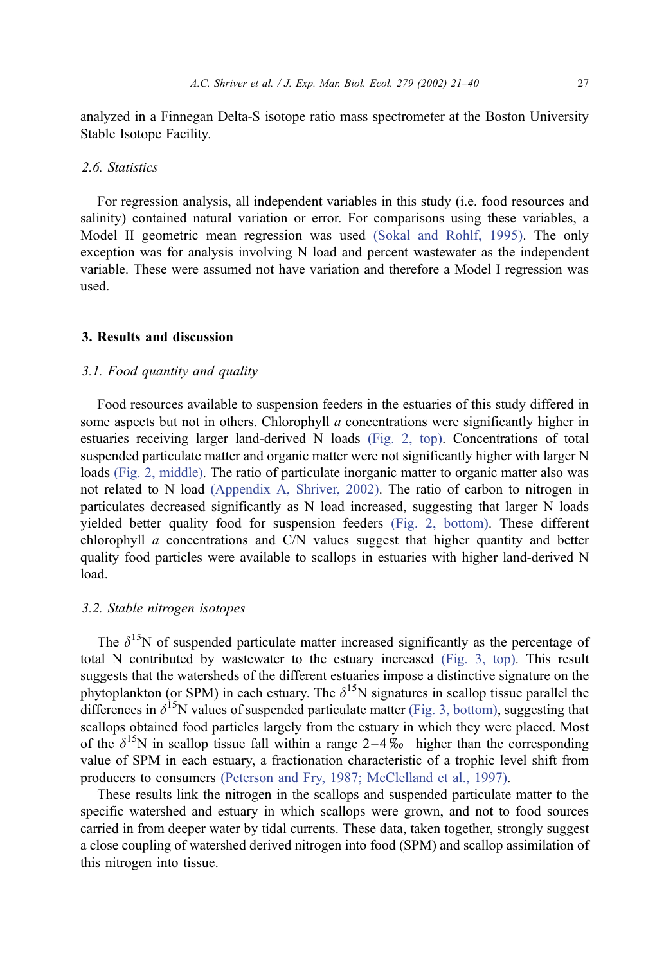analyzed in a Finnegan Delta-S isotope ratio mass spectrometer at the Boston University Stable Isotope Facility.

## 2.6. Statistics

For regression analysis, all independent variables in this study (i.e. food resources and salinity) contained natural variation or error. For comparisons using these variables, a Model II geometric mean regression was used [\(Sokal and Rohlf, 1995\).](#page-18-0) The only exception was for analysis involving N load and percent wastewater as the independent variable. These were assumed not have variation and therefore a Model I regression was used.

# 3. Results and discussion

## 3.1. Food quantity and quality

Food resources available to suspension feeders in the estuaries of this study differed in some aspects but not in others. Chlorophyll  $a$  concentrations were significantly higher in estuaries receiving larger land-derived N loads [\(Fig. 2, top\).](#page-7-0) Concentrations of total suspended particulate matter and organic matter were not significantly higher with larger N loads [\(Fig. 2, middle\).](#page-7-0) The ratio of particulate inorganic matter to organic matter also was not related to N load [\(Appendix A, Shriver, 2002\).](#page-18-0) The ratio of carbon to nitrogen in particulates decreased significantly as N load increased, suggesting that larger N loads yielded better quality food for suspension feeders [\(Fig. 2, bottom\).](#page-7-0) These different chlorophyll  $\alpha$  concentrations and C/N values suggest that higher quantity and better quality food particles were available to scallops in estuaries with higher land-derived N load.

## 3.2. Stable nitrogen isotopes

The  $\delta^{15}$ N of suspended particulate matter increased significantly as the percentage of total N contributed by wastewater to the estuary increased [\(Fig. 3, top\).](#page-8-0) This result suggests that the watersheds of the different estuaries impose a distinctive signature on the phytoplankton (or SPM) in each estuary. The  $\delta^{15}N$  signatures in scallop tissue parallel the differences in  $\delta^{15}N$  values of suspended particulate matter [\(Fig. 3, bottom\),](#page-8-0) suggesting that scallops obtained food particles largely from the estuary in which they were placed. Most of the  $\delta^{15}N$  in scallop tissue fall within a range 2–4% higher than the corresponding value of SPM in each estuary, a fractionation characteristic of a trophic level shift from producers to consumers [\(Peterson and Fry, 1987; McClelland et al., 1997\).](#page-18-0)

These results link the nitrogen in the scallops and suspended particulate matter to the specific watershed and estuary in which scallops were grown, and not to food sources carried in from deeper water by tidal currents. These data, taken together, strongly suggest a close coupling of watershed derived nitrogen into food (SPM) and scallop assimilation of this nitrogen into tissue.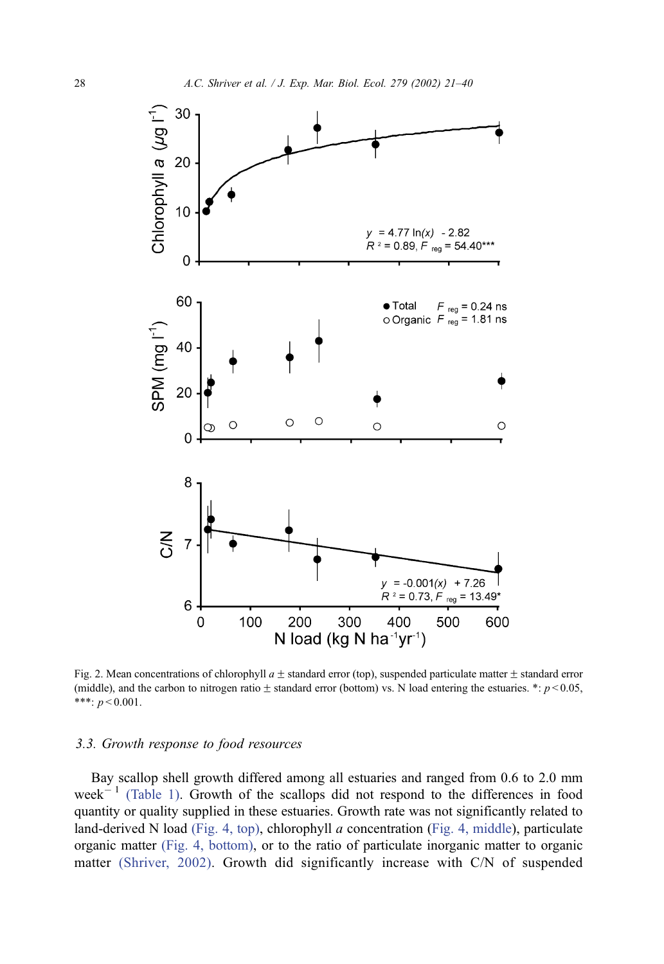<span id="page-7-0"></span>

Fig. 2. Mean concentrations of chlorophyll  $a \pm$  standard error (top), suspended particulate matter  $\pm$  standard error (middle), and the carbon to nitrogen ratio  $\pm$  standard error (bottom) vs. N load entering the estuaries. \*:  $p < 0.05$ , \*\*\*:  $p < 0.001$ .

## 3.3. Growth response to food resources

Bay scallop shell growth differed among all estuaries and ranged from 0.6 to 2.0 mm week $^{-1}$  [\(Table 1\).](#page-3-0) Growth of the scallops did not respond to the differences in food quantity or quality supplied in these estuaries. Growth rate was not significantly related to land-derived N load [\(Fig. 4, top\),](#page-9-0) chlorophyll  $a$  concentration ([Fig. 4, middle\)](#page-9-0), particulate organic matter [\(Fig. 4, bottom\),](#page-9-0) or to the ratio of particulate inorganic matter to organic matter [\(Shriver, 2002\).](#page-18-0) Growth did significantly increase with C/N of suspended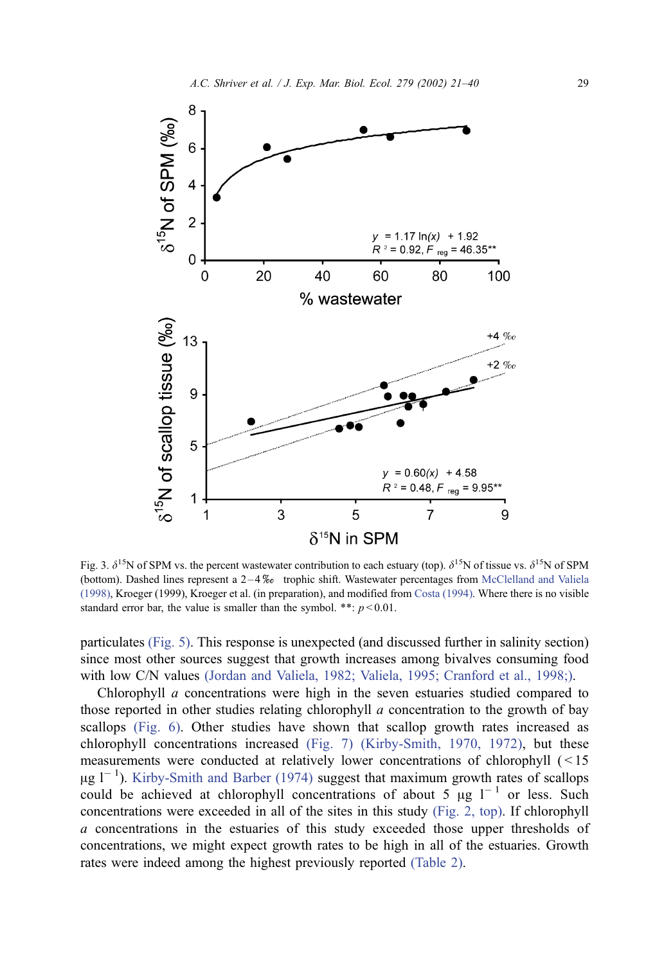<span id="page-8-0"></span>

Fig. 3.  $\delta^{15}$ N of SPM vs. the percent wastewater contribution to each estuary (top).  $\delta^{15}$ N of tissue vs.  $\delta^{15}$ N of SPM (bottom). Dashed lines represent a  $2-4\%$  trophic shift. Wastewater percentages from [McClelland and Valiela](#page-18-0) (1998), Kroeger (1999), Kroeger et al. (in preparation), and modified from [Costa \(1994\).](#page-17-0) Where there is no visible standard error bar, the value is smaller than the symbol. \*\*:  $p < 0.01$ .

particulates [\(Fig. 5\).](#page-10-0) This response is unexpected (and discussed further in salinity section) since most other sources suggest that growth increases among bivalves consuming food with low C/N values [\(Jordan and Valiela, 1982; Valiela, 1995; Cranford et al., 1998;\).](#page-17-0)

Chlorophyll a concentrations were high in the seven estuaries studied compared to those reported in other studies relating chlorophyll a concentration to the growth of bay scallops [\(Fig. 6\).](#page-10-0) Other studies have shown that scallop growth rates increased as chlorophyll concentrations increased [\(Fig. 7\)](#page-11-0) [\(Kirby-Smith, 1970, 1972\),](#page-17-0) but these measurements were conducted at relatively lower concentrations of chlorophyll ( < 15  $\mu$ g l<sup>-1</sup>). [Kirby-Smith and Barber \(1974\)](#page-17-0) suggest that maximum growth rates of scallops could be achieved at chlorophyll concentrations of about 5  $\mu$ g l<sup>-1</sup> or less. Such concentrations were exceeded in all of the sites in this study [\(Fig. 2, top\).](#page-7-0) If chlorophyll a concentrations in the estuaries of this study exceeded those upper thresholds of concentrations, we might expect growth rates to be high in all of the estuaries. Growth rates were indeed among the highest previously reported [\(Table 2\).](#page-11-0)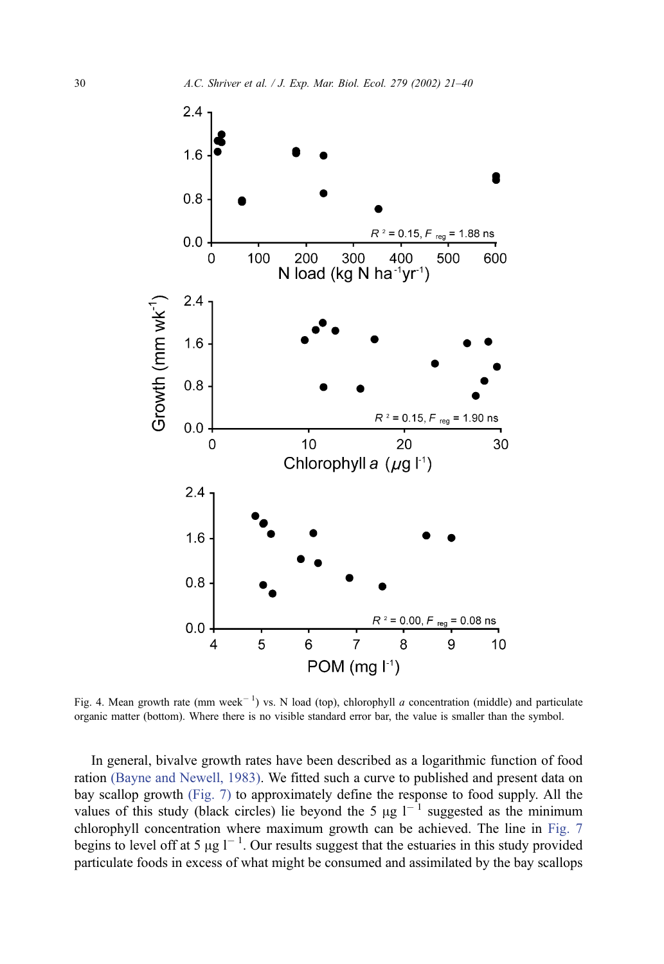<span id="page-9-0"></span>

Fig. 4. Mean growth rate (mm week<sup>-1</sup>) vs. N load (top), chlorophyll *a* concentration (middle) and particulate organic matter (bottom). Where there is no visible standard error bar, the value is smaller than the symbol.

In general, bivalve growth rates have been described as a logarithmic function of food ration [\(Bayne and Newell, 1983\).](#page-16-0) We fitted such a curve to published and present data on bay scallop growth [\(Fig. 7\)](#page-11-0) to approximately define the response to food supply. All the values of this study (black circles) lie beyond the 5  $\mu$ g l<sup>-1</sup> suggested as the minimum chlorophyll concentration where maximum growth can be achieved. The line in [Fig. 7](#page-11-0) begins to level off at 5  $\mu$ g l<sup>-1</sup>. Our results suggest that the estuaries in this study provided particulate foods in excess of what might be consumed and assimilated by the bay scallops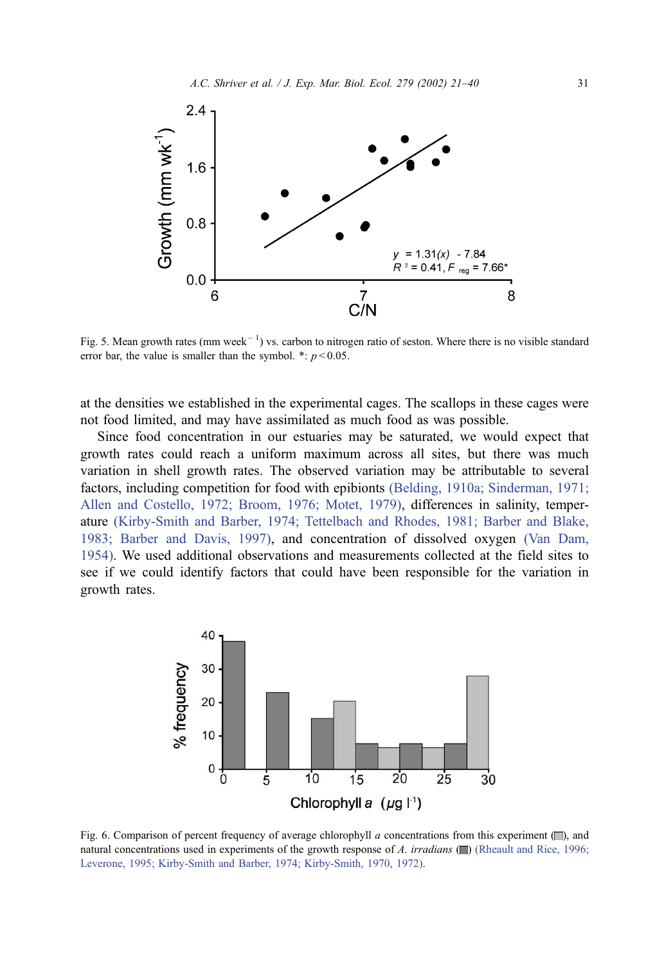<span id="page-10-0"></span>

Fig. 5. Mean growth rates (mm week<sup> $-1$ </sup>) vs. carbon to nitrogen ratio of seston. Where there is no visible standard error bar, the value is smaller than the symbol. \*:  $p < 0.05$ .

at the densities we established in the experimental cages. The scallops in these cages were not food limited, and may have assimilated as much food as was possible.

Since food concentration in our estuaries may be saturated, we would expect that growth rates could reach a uniform maximum across all sites, but there was much variation in shell growth rates. The observed variation may be attributable to several factors, including competition for food with epibionts [\(Belding, 1910a; Sinderman, 1971;](#page-16-0) Allen and Costello, 1972; Broom, 1976; Motet, 1979), differences in salinity, temperature [\(Kirby-Smith and Barber, 1974; Tettelbach and Rhodes, 1981; Barber and Blake,](#page-17-0) 1983; Barber and Davis, 1997), and concentration of dissolved oxygen [\(Van Dam,](#page-19-0) 1954). We used additional observations and measurements collected at the field sites to see if we could identify factors that could have been responsible for the variation in growth rates.



Fig. 6. Comparison of percent frequency of average chlorophyll a concentrations from this experiment  $(\Box)$ , and natural concentrations used in experiments of the growth response of A. *irradians* ( $\Box$ ) [\(Rheault and Rice, 1996;](#page-18-0) Leverone, 1995; Kirby-Smith and Barber, 1974; Kirby-Smith, 1970, 1972).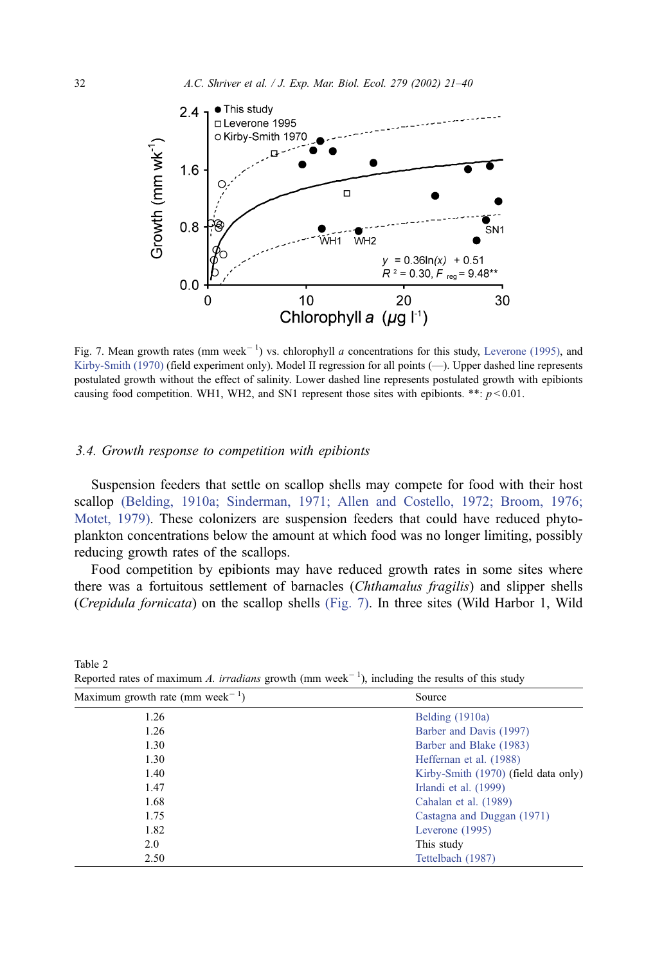<span id="page-11-0"></span>

Fig. 7. Mean growth rates (mm week<sup>-1</sup>) vs. chlorophyll a concentrations for this study, [Leverone \(1995\),](#page-17-0) and [Kirby-Smith \(1970\)](#page-17-0) (field experiment only). Model II regression for all points (-). Upper dashed line represents postulated growth without the effect of salinity. Lower dashed line represents postulated growth with epibionts causing food competition. WH1, WH2, and SN1 represent those sites with epibionts. \*\*:  $p < 0.01$ .

#### 3.4. Growth response to competition with epibionts

Suspension feeders that settle on scallop shells may compete for food with their host scallop [\(Belding, 1910a; Sinderman, 1971; Allen and Costello, 1972; Broom, 1976;](#page-16-0) Motet, 1979). These colonizers are suspension feeders that could have reduced phytoplankton concentrations below the amount at which food was no longer limiting, possibly reducing growth rates of the scallops.

Food competition by epibionts may have reduced growth rates in some sites where there was a fortuitous settlement of barnacles (Chthamalus fragilis) and slipper shells (Crepidula fornicata) on the scallop shells (Fig. 7). In three sites (Wild Harbor 1, Wild

| Maximum growth rate (mm week <sup>-1</sup> ) | Source                               |  |  |
|----------------------------------------------|--------------------------------------|--|--|
| 1.26                                         | Belding $(1910a)$                    |  |  |
| 1.26                                         | Barber and Davis (1997)              |  |  |
| 1.30                                         | Barber and Blake (1983)              |  |  |
| 1.30                                         | Heffernan et al. (1988)              |  |  |
| 1.40                                         | Kirby-Smith (1970) (field data only) |  |  |
| 1.47                                         | Irlandi et al. (1999)                |  |  |
| 1.68                                         | Cahalan et al. (1989)                |  |  |
| 1.75                                         | Castagna and Duggan (1971)           |  |  |
| 1.82                                         | Leverone (1995)                      |  |  |
| 2.0                                          | This study                           |  |  |
| 2.50                                         | Tettelbach (1987)                    |  |  |

Reported rates of maximum A. irradians growth (mm week<sup>-1</sup>), including the results of this study

Table 2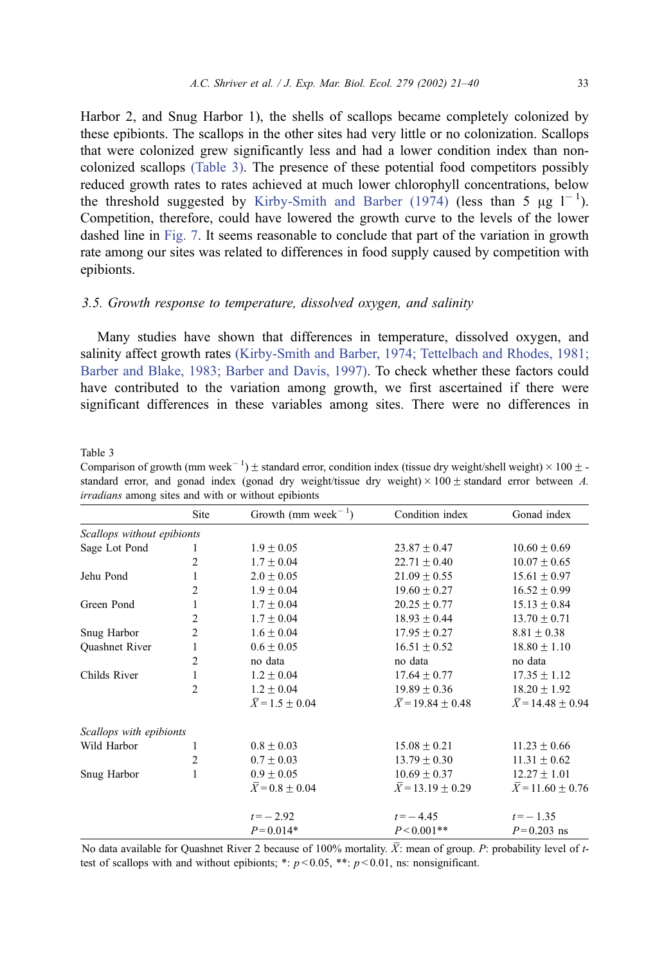Harbor 2, and Snug Harbor 1), the shells of scallops became completely colonized by these epibionts. The scallops in the other sites had very little or no colonization. Scallops that were colonized grew significantly less and had a lower condition index than noncolonized scallops (Table 3). The presence of these potential food competitors possibly reduced growth rates to rates achieved at much lower chlorophyll concentrations, below the threshold suggested by [Kirby-Smith and Barber \(1974\)](#page-17-0) (less than 5  $\mu$ g l<sup>-1</sup>). Competition, therefore, could have lowered the growth curve to the levels of the lower dashed line in [Fig. 7.](#page-11-0) It seems reasonable to conclude that part of the variation in growth rate among our sites was related to differences in food supply caused by competition with epibionts.

# 3.5. Growth response to temperature, dissolved oxygen, and salinity

Many studies have shown that differences in temperature, dissolved oxygen, and salinity affect growth rates [\(Kirby-Smith and Barber, 1974; Tettelbach and Rhodes, 1981;](#page-17-0) Barber and Blake, 1983; Barber and Davis, 1997). To check whether these factors could have contributed to the variation among growth, we first ascertained if there were significant differences in these variables among sites. There were no differences in

Table 3

Comparison of growth (mm week<sup>-1</sup>)  $\pm$  standard error, condition index (tissue dry weight/shell weight)  $\times$  100  $\pm$ standard error, and gonad index (gonad dry weight/tissue dry weight)  $\times$  100  $\pm$  standard error between A. irradians among sites and with or without epibionts

|                            | Site           | Growth (mm week <sup><math>-1</math></sup> ) | Condition index               | Gonad index                   |
|----------------------------|----------------|----------------------------------------------|-------------------------------|-------------------------------|
| Scallops without epibionts |                |                                              |                               |                               |
| Sage Lot Pond              | 1              | $1.9 \pm 0.05$                               | $23.87 + 0.47$                | $10.60 \pm 0.69$              |
|                            | 2              | $1.7 \pm 0.04$                               | $22.71 \pm 0.40$              | $10.07 \pm 0.65$              |
| Jehu Pond                  | 1              | $2.0 \pm 0.05$                               | $21.09 \pm 0.55$              | $15.61 \pm 0.97$              |
|                            | 2              | $1.9 \pm 0.04$                               | $19.60 \pm 0.27$              | $16.52 \pm 0.99$              |
| Green Pond                 | 1              | $1.7 \pm 0.04$                               | $20.25 \pm 0.77$              | $15.13 \pm 0.84$              |
|                            | $\overline{2}$ | $1.7 + 0.04$                                 | $18.93 + 0.44$                | $13.70 \pm 0.71$              |
| Snug Harbor                | $\overline{2}$ | $1.6 \pm 0.04$                               | $17.95 \pm 0.27$              | $8.81 \pm 0.38$               |
| Quashnet River             | 1              | $0.6 \pm 0.05$                               | $16.51 \pm 0.52$              | $18.80 \pm 1.10$              |
|                            | 2              | no data                                      | no data                       | no data                       |
| Childs River               | 1              | $1.2 \pm 0.04$                               | $17.64 \pm 0.77$              | $17.35 \pm 1.12$              |
|                            | 2              | $1.2 \pm 0.04$                               | $19.89 \pm 0.36$              | $18.20 \pm 1.92$              |
|                            |                | $\overline{X}$ = 1.5 + 0.04                  | $\overline{X}$ = 19.84 + 0.48 | $\overline{X}$ = 14.48 + 0.94 |
| Scallops with epibionts    |                |                                              |                               |                               |
| Wild Harbor                | 1              | $0.8 \pm 0.03$                               | $15.08 + 0.21$                | $11.23 \pm 0.66$              |
|                            | 2              | $0.7 \pm 0.03$                               | $13.79 \pm 0.30$              | $11.31 \pm 0.62$              |
| Snug Harbor                |                | $0.9 + 0.05$                                 | $10.69 + 0.37$                | $12.27 \pm 1.01$              |
|                            |                | $X = 0.8 \pm 0.04$                           | $X = 13.19 \pm 0.29$          | $X = 11.60 \pm 0.76$          |
|                            |                | $t = -2.92$                                  | $t = -4.45$                   | $t = -1.35$                   |
|                            |                | $P = 0.014*$                                 | $P < 0.001$ **                | $P = 0.203$ ns                |

No data available for Quashnet River 2 because of 100% mortality.  $\overline{X}$ : mean of group. P: probability level of ttest of scallops with and without epibionts; \*:  $p < 0.05$ , \*\*:  $p < 0.01$ , ns: nonsignificant.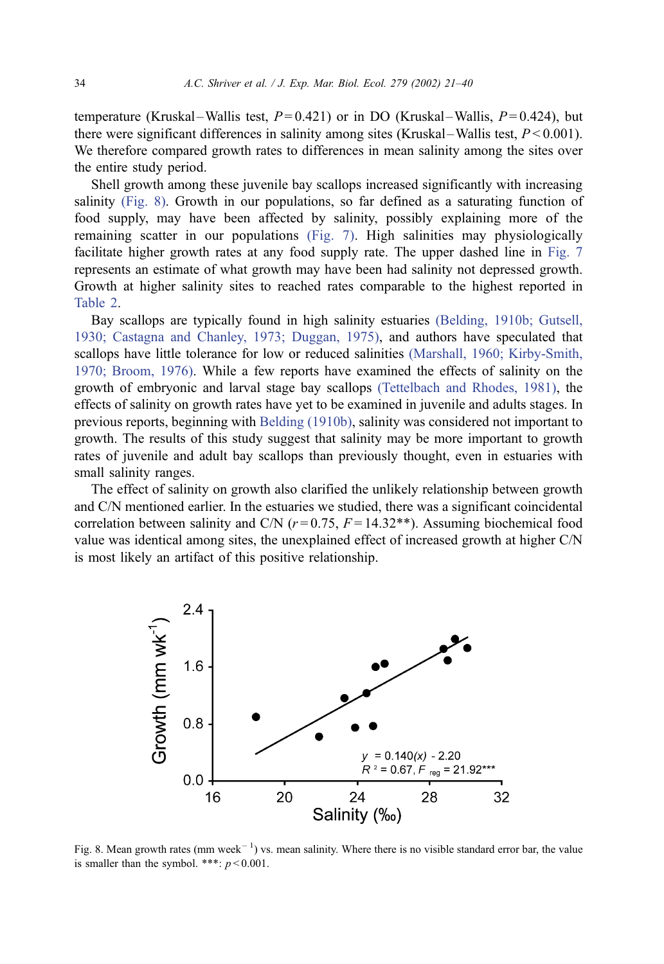temperature (Kruskal – Wallis test,  $P = 0.421$ ) or in DO (Kruskal – Wallis,  $P = 0.424$ ), but there were significant differences in salinity among sites (Kruskal – Wallis test,  $P < 0.001$ ). We therefore compared growth rates to differences in mean salinity among the sites over the entire study period.

Shell growth among these juvenile bay scallops increased significantly with increasing salinity (Fig. 8). Growth in our populations, so far defined as a saturating function of food supply, may have been affected by salinity, possibly explaining more of the remaining scatter in our populations [\(Fig. 7\).](#page-11-0) High salinities may physiologically facilitate higher growth rates at any food supply rate. The upper dashed line in [Fig. 7](#page-11-0) represents an estimate of what growth may have been had salinity not depressed growth. Growth at higher salinity sites to reached rates comparable to the highest reported in [Table 2.](#page-11-0)

Bay scallops are typically found in high salinity estuaries [\(Belding, 1910b; Gutsell,](#page-16-0) 1930; Castagna and Chanley, 1973; Duggan, 1975), and authors have speculated that scallops have little tolerance for low or reduced salinities [\(Marshall, 1960; Kirby-Smith,](#page-18-0) 1970; Broom, 1976). While a few reports have examined the effects of salinity on the growth of embryonic and larval stage bay scallops [\(Tettelbach and Rhodes, 1981\),](#page-18-0) the effects of salinity on growth rates have yet to be examined in juvenile and adults stages. In previous reports, beginning with [Belding \(1910b\),](#page-16-0) salinity was considered not important to growth. The results of this study suggest that salinity may be more important to growth rates of juvenile and adult bay scallops than previously thought, even in estuaries with small salinity ranges.

The effect of salinity on growth also clarified the unlikely relationship between growth and C/N mentioned earlier. In the estuaries we studied, there was a significant coincidental correlation between salinity and C/N  $(r=0.75, F=14.32**)$ . Assuming biochemical food value was identical among sites, the unexplained effect of increased growth at higher C/N is most likely an artifact of this positive relationship.



Fig. 8. Mean growth rates (mm week<sup> $-1$ </sup>) vs. mean salinity. Where there is no visible standard error bar, the value is smaller than the symbol. \*\*\*:  $p < 0.001$ .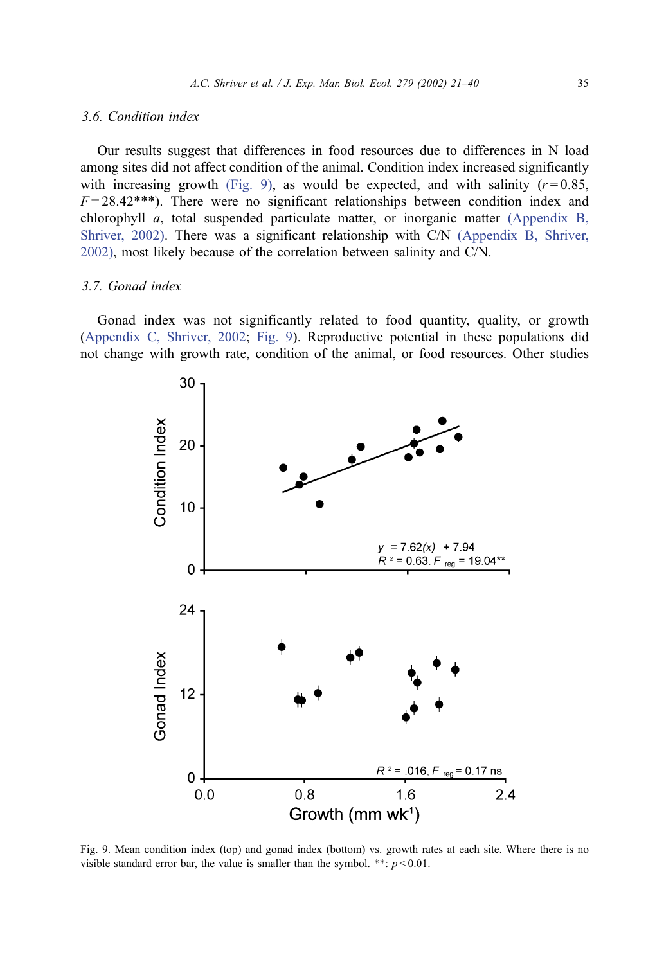## 3.6. Condition index

Our results suggest that differences in food resources due to differences in N load among sites did not affect condition of the animal. Condition index increased significantly with increasing growth (Fig. 9), as would be expected, and with salinity  $(r=0.85,$  $F = 28.42$ <sup>\*\*\*</sup>). There were no significant relationships between condition index and chlorophyll  $a$ , total suspended particulate matter, or inorganic matter [\(Appendix B,](#page-18-0) Shriver, 2002). There was a significant relationship with C/N [\(Appendix B, Shriver,](#page-18-0) 2002), most likely because of the correlation between salinity and C/N.

## 3.7. Gonad index

Gonad index was not significantly related to food quantity, quality, or growth ([Appendix C, Shriver, 2002;](#page-18-0) Fig. 9). Reproductive potential in these populations did not change with growth rate, condition of the animal, or food resources. Other studies



Fig. 9. Mean condition index (top) and gonad index (bottom) vs. growth rates at each site. Where there is no visible standard error bar, the value is smaller than the symbol. \*\*:  $p < 0.01$ .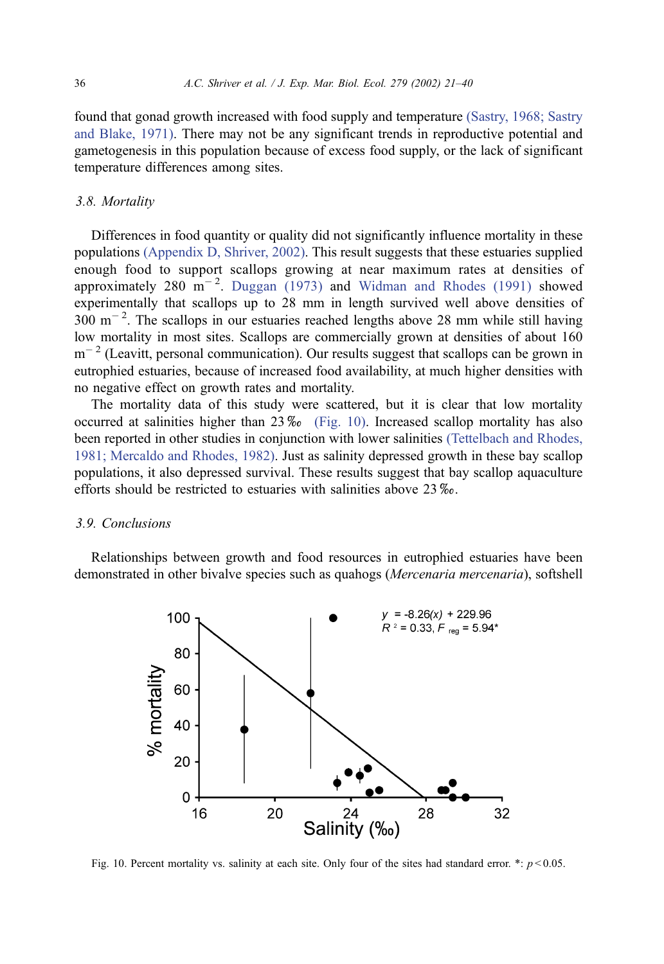found that gonad growth increased with food supply and temperature [\(Sastry, 1968; Sastry](#page-18-0) and Blake, 1971). There may not be any significant trends in reproductive potential and gametogenesis in this population because of excess food supply, or the lack of significant temperature differences among sites.

#### 3.8. Mortality

Differences in food quantity or quality did not significantly influence mortality in these populations [\(Appendix D, Shriver, 2002\).](#page-18-0) This result suggests that these estuaries supplied enough food to support scallops growing at near maximum rates at densities of approximately 280  $\mathrm{m}^{-2}$ . [Duggan \(1973\)](#page-17-0) and [Widman and Rhodes \(1991\)](#page-19-0) showed experimentally that scallops up to 28 mm in length survived well above densities of  $300 \text{ m}^{-2}$ . The scallops in our estuaries reached lengths above 28 mm while still having low mortality in most sites. Scallops are commercially grown at densities of about 160  $m^{-2}$  (Leavitt, personal communication). Our results suggest that scallops can be grown in eutrophied estuaries, because of increased food availability, at much higher densities with no negative effect on growth rates and mortality.

The mortality data of this study were scattered, but it is clear that low mortality occurred at salinities higher than  $23\%$  (Fig. 10). Increased scallop mortality has also been reported in other studies in conjunction with lower salinities [\(Tettelbach and Rhodes,](#page-18-0) 1981; Mercaldo and Rhodes, 1982). Just as salinity depressed growth in these bay scallop populations, it also depressed survival. These results suggest that bay scallop aquaculture efforts should be restricted to estuaries with salinities above  $23\%$ .

## 3.9. Conclusions

Relationships between growth and food resources in eutrophied estuaries have been demonstrated in other bivalve species such as quahogs (Mercenaria mercenaria), softshell



Fig. 10. Percent mortality vs. salinity at each site. Only four of the sites had standard error. \*:  $p < 0.05$ .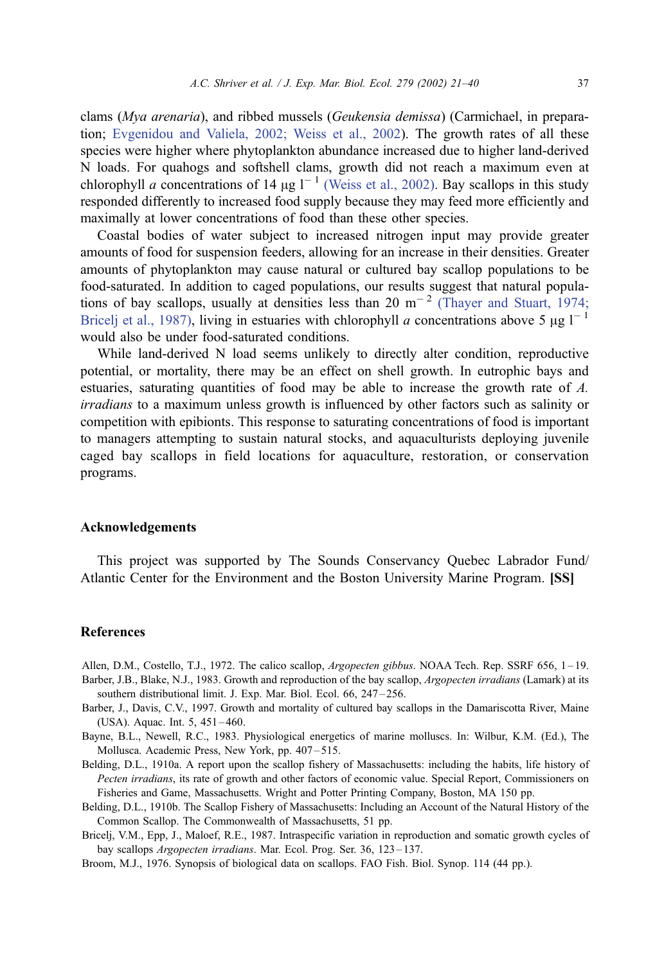<span id="page-16-0"></span>clams (Mya arenaria), and ribbed mussels (Geukensia demissa) (Carmichael, in preparation; [Evgenidou and Valiela, 2002; Weiss et al., 2002\)](#page-17-0). The growth rates of all these species were higher where phytoplankton abundance increased due to higher land-derived N loads. For quahogs and softshell clams, growth did not reach a maximum even at chlorophyll a concentrations of 14  $\mu$ g l<sup>-1</sup> [\(Weiss et al., 2002\).](#page-19-0) Bay scallops in this study responded differently to increased food supply because they may feed more efficiently and maximally at lower concentrations of food than these other species.

Coastal bodies of water subject to increased nitrogen input may provide greater amounts of food for suspension feeders, allowing for an increase in their densities. Greater amounts of phytoplankton may cause natural or cultured bay scallop populations to be food-saturated. In addition to caged populations, our results suggest that natural populations of bay scallops, usually at densities less than 20  $\mathrm{m}^{-2}$  [\(Thayer and Stuart, 1974;](#page-18-0) Bricelj et al., 1987), living in estuaries with chlorophyll a concentrations above 5  $\mu$ g l<sup>-1</sup> would also be under food-saturated conditions.

While land-derived N load seems unlikely to directly alter condition, reproductive potential, or mortality, there may be an effect on shell growth. In eutrophic bays and estuaries, saturating quantities of food may be able to increase the growth rate of A. irradians to a maximum unless growth is influenced by other factors such as salinity or competition with epibionts. This response to saturating concentrations of food is important to managers attempting to sustain natural stocks, and aquaculturists deploying juvenile caged bay scallops in field locations for aquaculture, restoration, or conservation programs.

#### Acknowledgements

This project was supported by The Sounds Conservancy Quebec Labrador Fund/ Atlantic Center for the Environment and the Boston University Marine Program. [SS]

#### References

Allen, D.M., Costello, T.J., 1972. The calico scallop, Argopecten gibbus. NOAA Tech. Rep. SSRF 656, 1–19.

- Barber, J.B., Blake, N.J., 1983. Growth and reproduction of the bay scallop, *Argopecten irradians* (Lamark) at its southern distributional limit. J. Exp. Mar. Biol. Ecol. 66, 247-256.
- Barber, J., Davis, C.V., 1997. Growth and mortality of cultured bay scallops in the Damariscotta River, Maine (USA). Aquac. Int. 5, 451 – 460.
- Bayne, B.L., Newell, R.C., 1983. Physiological energetics of marine molluscs. In: Wilbur, K.M. (Ed.), The Mollusca. Academic Press, New York, pp. 407 – 515.
- Belding, D.L., 1910a. A report upon the scallop fishery of Massachusetts: including the habits, life history of Pecten irradians, its rate of growth and other factors of economic value. Special Report, Commissioners on Fisheries and Game, Massachusetts. Wright and Potter Printing Company, Boston, MA 150 pp.
- Belding, D.L., 1910b. The Scallop Fishery of Massachusetts: Including an Account of the Natural History of the Common Scallop. The Commonwealth of Massachusetts, 51 pp.
- Bricelj, V.M., Epp, J., Maloef, R.E., 1987. Intraspecific variation in reproduction and somatic growth cycles of bay scallops Argopecten irradians. Mar. Ecol. Prog. Ser. 36, 123-137.
- Broom, M.J., 1976. Synopsis of biological data on scallops. FAO Fish. Biol. Synop. 114 (44 pp.).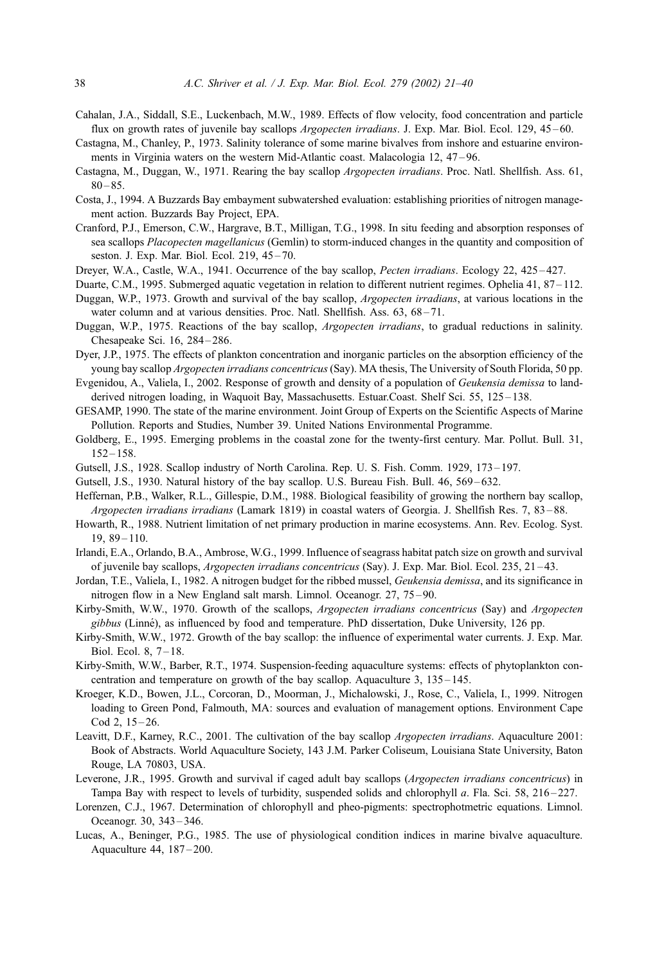- <span id="page-17-0"></span>Cahalan, J.A., Siddall, S.E., Luckenbach, M.W., 1989. Effects of flow velocity, food concentration and particle flux on growth rates of juvenile bay scallops *Argopecten irradians*. J. Exp. Mar. Biol. Ecol. 129, 45–60.
- Castagna, M., Chanley, P., 1973. Salinity tolerance of some marine bivalves from inshore and estuarine environments in Virginia waters on the western Mid-Atlantic coast. Malacologia 12, 47–96.
- Castagna, M., Duggan, W., 1971. Rearing the bay scallop Argopecten irradians. Proc. Natl. Shellfish. Ass. 61,  $80 - 85.$
- Costa, J., 1994. A Buzzards Bay embayment subwatershed evaluation: establishing priorities of nitrogen management action. Buzzards Bay Project, EPA.
- Cranford, P.J., Emerson, C.W., Hargrave, B.T., Milligan, T.G., 1998. In situ feeding and absorption responses of sea scallops Placopecten magellanicus (Gemlin) to storm-induced changes in the quantity and composition of seston. J. Exp. Mar. Biol. Ecol. 219, 45-70.
- Dreyer, W.A., Castle, W.A., 1941. Occurrence of the bay scallop, Pecten irradians. Ecology 22, 425-427.
- Duarte, C.M., 1995. Submerged aquatic vegetation in relation to different nutrient regimes. Ophelia 41, 87–112.
- Duggan, W.P., 1973. Growth and survival of the bay scallop, *Argopecten irradians*, at various locations in the water column and at various densities. Proc. Natl. Shellfish. Ass. 63, 68-71.
- Duggan, W.P., 1975. Reactions of the bay scallop, Argopecten irradians, to gradual reductions in salinity. Chesapeake Sci. 16, 284 – 286.
- Dyer, J.P., 1975. The effects of plankton concentration and inorganic particles on the absorption efficiency of the young bay scallop Argopecten irradians concentricus (Say). MA thesis, The University of South Florida, 50 pp.
- Evgenidou, A., Valiela, I., 2002. Response of growth and density of a population of Geukensia demissa to landderived nitrogen loading, in Waquoit Bay, Massachusetts. Estuar.Coast. Shelf Sci. 55, 125–138.
- GESAMP, 1990. The state of the marine environment. Joint Group of Experts on the Scientific Aspects of Marine Pollution. Reports and Studies, Number 39. United Nations Environmental Programme.
- Goldberg, E., 1995. Emerging problems in the coastal zone for the twenty-first century. Mar. Pollut. Bull. 31,  $152 - 158$ .
- Gutsell, J.S., 1928. Scallop industry of North Carolina. Rep. U. S. Fish. Comm. 1929, 173 197.
- Gutsell, J.S., 1930. Natural history of the bay scallop. U.S. Bureau Fish. Bull. 46, 569–632.
- Heffernan, P.B., Walker, R.L., Gillespie, D.M., 1988. Biological feasibility of growing the northern bay scallop, Argopecten irradians irradians (Lamark 1819) in coastal waters of Georgia. J. Shellfish Res. 7, 83 – 88.
- Howarth, R., 1988. Nutrient limitation of net primary production in marine ecosystems. Ann. Rev. Ecolog. Syst.  $19, 89 - 110.$
- Irlandi, E.A., Orlando, B.A., Ambrose, W.G., 1999. Influence of seagrass habitat patch size on growth and survival of juvenile bay scallops, Argopecten irradians concentricus (Say). J. Exp. Mar. Biol. Ecol. 235, 21 – 43.
- Jordan, T.E., Valiela, I., 1982. A nitrogen budget for the ribbed mussel, Geukensia demissa, and its significance in nitrogen flow in a New England salt marsh. Limnol. Oceanogr. 27, 75 – 90.
- Kirby-Smith, W.W., 1970. Growth of the scallops, Argopecten irradians concentricus (Say) and Argopecten gibbus (Linné), as influenced by food and temperature. PhD dissertation, Duke University, 126 pp.
- Kirby-Smith, W.W., 1972. Growth of the bay scallop: the influence of experimental water currents. J. Exp. Mar. Biol. Ecol. 8,  $7-18$ .
- Kirby-Smith, W.W., Barber, R.T., 1974. Suspension-feeding aquaculture systems: effects of phytoplankton concentration and temperature on growth of the bay scallop. Aquaculture 3, 135 – 145.
- Kroeger, K.D., Bowen, J.L., Corcoran, D., Moorman, J., Michalowski, J., Rose, C., Valiela, I., 1999. Nitrogen loading to Green Pond, Falmouth, MA: sources and evaluation of management options. Environment Cape  $Cod 2, 15 - 26.$
- Leavitt, D.F., Karney, R.C., 2001. The cultivation of the bay scallop Argopecten irradians. Aquaculture 2001: Book of Abstracts. World Aquaculture Society, 143 J.M. Parker Coliseum, Louisiana State University, Baton Rouge, LA 70803, USA.
- Leverone, J.R., 1995. Growth and survival if caged adult bay scallops (Argopecten irradians concentricus) in Tampa Bay with respect to levels of turbidity, suspended solids and chlorophyll a. Fla. Sci. 58, 216 – 227.
- Lorenzen, C.J., 1967. Determination of chlorophyll and pheo-pigments: spectrophotmetric equations. Limnol. Oceanogr. 30, 343 – 346.
- Lucas, A., Beninger, P.G., 1985. The use of physiological condition indices in marine bivalve aquaculture. Aquaculture 44, 187 – 200.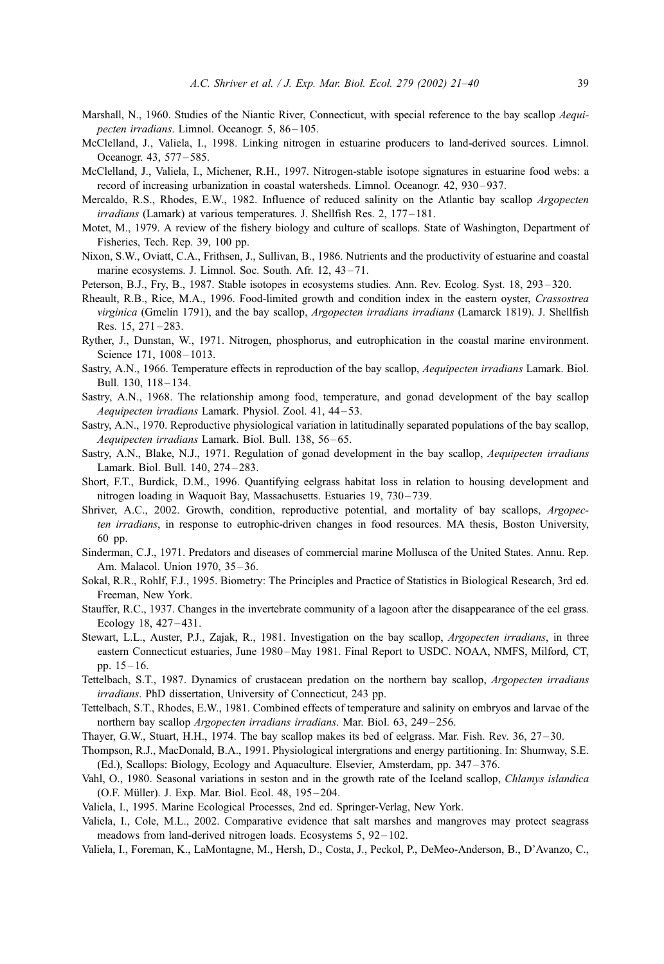- <span id="page-18-0"></span>Marshall, N., 1960. Studies of the Niantic River, Connecticut, with special reference to the bay scallop Aequipecten irradians. Limnol. Oceanogr. 5, 86-105.
- McClelland, J., Valiela, I., 1998. Linking nitrogen in estuarine producers to land-derived sources. Limnol. Oceanogr. 43, 577 – 585.
- McClelland, J., Valiela, I., Michener, R.H., 1997. Nitrogen-stable isotope signatures in estuarine food webs: a record of increasing urbanization in coastal watersheds. Limnol. Oceanogr. 42, 930–937.
- Mercaldo, R.S., Rhodes, E.W., 1982. Influence of reduced salinity on the Atlantic bay scallop Argopecten irradians (Lamark) at various temperatures. J. Shellfish Res. 2, 177-181.
- Motet, M., 1979. A review of the fishery biology and culture of scallops. State of Washington, Department of Fisheries, Tech. Rep. 39, 100 pp.
- Nixon, S.W., Oviatt, C.A., Frithsen, J., Sullivan, B., 1986. Nutrients and the productivity of estuarine and coastal marine ecosystems. J. Limnol. Soc. South. Afr. 12, 43-71.
- Peterson, B.J., Fry, B., 1987. Stable isotopes in ecosystems studies. Ann. Rev. Ecolog. Syst. 18, 293 320.
- Rheault, R.B., Rice, M.A., 1996. Food-limited growth and condition index in the eastern oyster, Crassostrea virginica (Gmelin 1791), and the bay scallop, Argopecten irradians irradians (Lamarck 1819). J. Shellfish Res. 15, 271-283.
- Ryther, J., Dunstan, W., 1971. Nitrogen, phosphorus, and eutrophication in the coastal marine environment. Science 171, 1008-1013.
- Sastry, A.N., 1966. Temperature effects in reproduction of the bay scallop, Aequipecten irradians Lamark. Biol. Bull. 130, 118 – 134.
- Sastry, A.N., 1968. The relationship among food, temperature, and gonad development of the bay scallop Aequipecten irradians Lamark. Physiol. Zool. 41, 44-53.
- Sastry, A.N., 1970. Reproductive physiological variation in latitudinally separated populations of the bay scallop, Aequipecten irradians Lamark. Biol. Bull. 138, 56-65.
- Sastry, A.N., Blake, N.J., 1971. Regulation of gonad development in the bay scallop, Aequipecten irradians Lamark. Biol. Bull. 140, 274-283.
- Short, F.T., Burdick, D.M., 1996. Quantifying eelgrass habitat loss in relation to housing development and nitrogen loading in Waquoit Bay, Massachusetts. Estuaries 19, 730-739.
- Shriver, A.C., 2002. Growth, condition, reproductive potential, and mortality of bay scallops, Argopecten irradians, in response to eutrophic-driven changes in food resources. MA thesis, Boston University, 60 pp.
- Sinderman, C.J., 1971. Predators and diseases of commercial marine Mollusca of the United States. Annu. Rep. Am. Malacol. Union 1970, 35 – 36.
- Sokal, R.R., Rohlf, F.J., 1995. Biometry: The Principles and Practice of Statistics in Biological Research, 3rd ed. Freeman, New York.
- Stauffer, R.C., 1937. Changes in the invertebrate community of a lagoon after the disappearance of the eel grass. Ecology 18, 427 – 431.
- Stewart, L.L., Auster, P.J., Zajak, R., 1981. Investigation on the bay scallop, Argopecten irradians, in three eastern Connecticut estuaries, June 1980-May 1981. Final Report to USDC. NOAA, NMFS, Milford, CT, pp. 15 – 16.
- Tettelbach, S.T., 1987. Dynamics of crustacean predation on the northern bay scallop, Argopecten irradians irradians. PhD dissertation, University of Connecticut, 243 pp.
- Tettelbach, S.T., Rhodes, E.W., 1981. Combined effects of temperature and salinity on embryos and larvae of the northern bay scallop Argopecten irradians irradians. Mar. Biol. 63, 249 – 256.
- Thayer, G.W., Stuart, H.H., 1974. The bay scallop makes its bed of eelgrass. Mar. Fish. Rev. 36, 27 30.
- Thompson, R.J., MacDonald, B.A., 1991. Physiological intergrations and energy partitioning. In: Shumway, S.E. (Ed.), Scallops: Biology, Ecology and Aquaculture. Elsevier, Amsterdam, pp. 347 – 376.
- Vahl, O., 1980. Seasonal variations in seston and in the growth rate of the Iceland scallop, Chlamys islandica (O.F. Müller). J. Exp. Mar. Biol. Ecol. 48, 195-204.
- Valiela, I., 1995. Marine Ecological Processes, 2nd ed. Springer-Verlag, New York.
- Valiela, I., Cole, M.L., 2002. Comparative evidence that salt marshes and mangroves may protect seagrass meadows from land-derived nitrogen loads. Ecosystems 5, 92-102.
- Valiela, I., Foreman, K., LaMontagne, M., Hersh, D., Costa, J., Peckol, P., DeMeo-Anderson, B., D'Avanzo, C.,